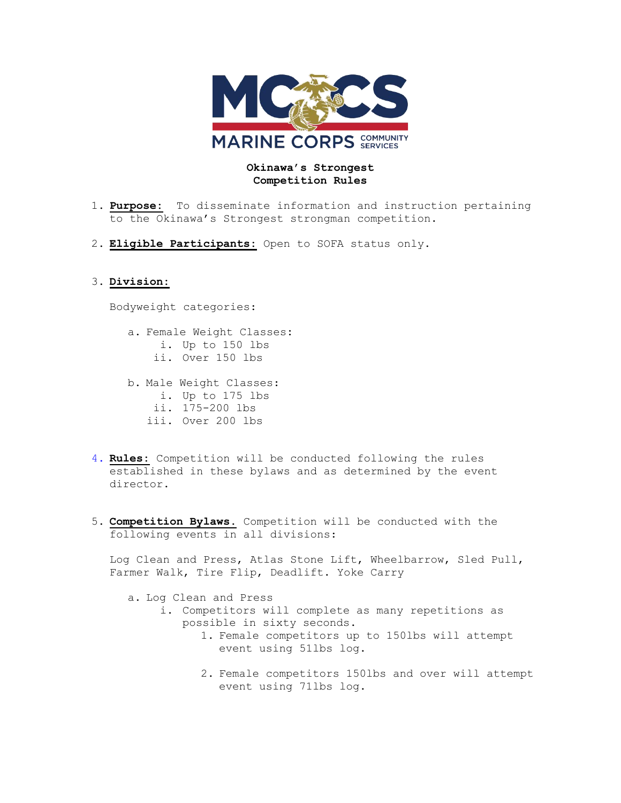

## **Okinawa's Strongest Competition Rules**

- 1. **Purpose:** To disseminate information and instruction pertaining to the Okinawa's Strongest strongman competition.
- 2. **Eligible Participants:** Open to SOFA status only.

## 3. **Division:**

Bodyweight categories:

- a. Female Weight Classes**:** i. Up to 150 lbs ii. Over 150 lbs b. Male Weight Classes: i. Up to 175 lbs ii. 175-200 lbs iii. Over 200 lbs
- 4. **Rules:** Competition will be conducted following the rules established in these bylaws and as determined by the event director.
- 5. **Competition Bylaws.** Competition will be conducted with the following events in all divisions:

Log Clean and Press, Atlas Stone Lift, Wheelbarrow, Sled Pull, Farmer Walk, Tire Flip, Deadlift. Yoke Carry

- a. Log Clean and Press
	- i. Competitors will complete as many repetitions as possible in sixty seconds.
		- 1. Female competitors up to 150lbs will attempt event using 51lbs log.
		- 2. Female competitors 150lbs and over will attempt event using 71lbs log.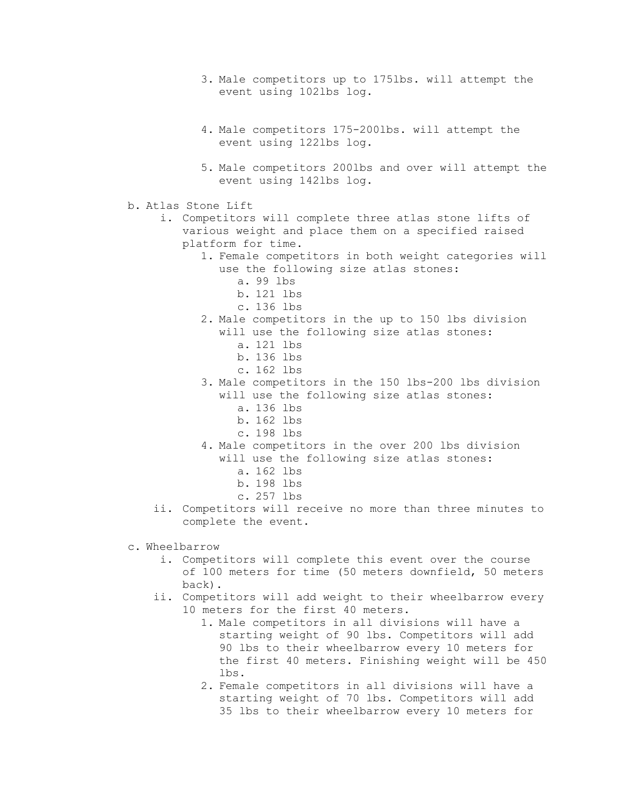- 3. Male competitors up to 175lbs. will attempt the event using 102lbs log.
- 4. Male competitors 175-200lbs. will attempt the event using 122lbs log.
- 5. Male competitors 200lbs and over will attempt the event using 142lbs log.
- b. Atlas Stone Lift
	- i. Competitors will complete three atlas stone lifts of various weight and place them on a specified raised platform for time.
		- 1. Female competitors in both weight categories will use the following size atlas stones:
			- a. 99 lbs
			- b. 121 lbs
			- c. 136 lbs
		- 2. Male competitors in the up to 150 lbs division will use the following size atlas stones:
			- a. 121 lbs
			- b. 136 lbs
			- c. 162 lbs
		- 3. Male competitors in the 150 lbs-200 lbs division will use the following size atlas stones:
			- a. 136 lbs
			- b. 162 lbs
			- c. 198 lbs
		- 4. Male competitors in the over 200 lbs division
			- will use the following size atlas stones:
				- a. 162 lbs
				- b. 198 lbs
				- c. 257 lbs
	- ii. Competitors will receive no more than three minutes to complete the event.
- c. Wheelbarrow
	- i. Competitors will complete this event over the course of 100 meters for time (50 meters downfield, 50 meters back).
	- ii. Competitors will add weight to their wheelbarrow every 10 meters for the first 40 meters.
		- 1. Male competitors in all divisions will have a starting weight of 90 lbs. Competitors will add 90 lbs to their wheelbarrow every 10 meters for the first 40 meters. Finishing weight will be 450 lbs.
		- 2. Female competitors in all divisions will have a starting weight of 70 lbs. Competitors will add 35 lbs to their wheelbarrow every 10 meters for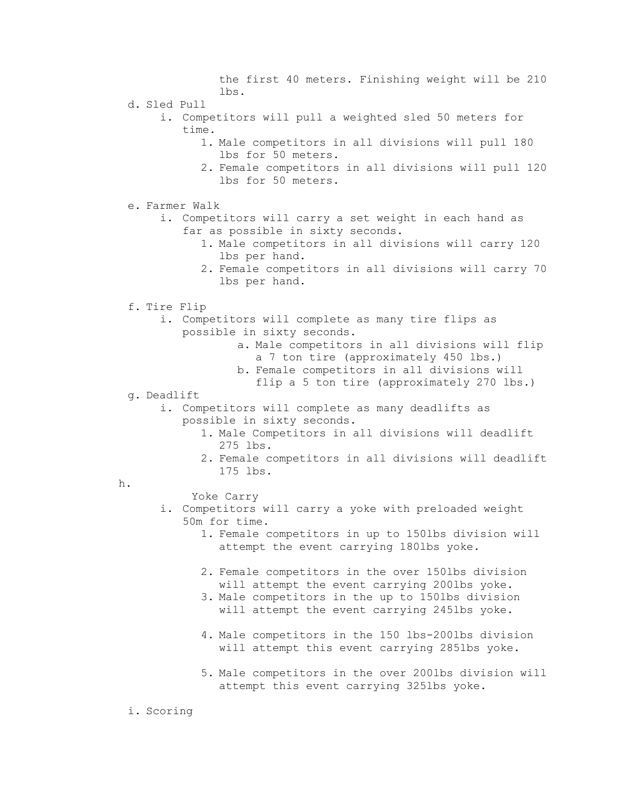the first 40 meters. Finishing weight will be 210 lbs.

- d. Sled Pull
	- i. Competitors will pull a weighted sled 50 meters for time.
		- 1. Male competitors in all divisions will pull 180 lbs for 50 meters.
		- 2. Female competitors in all divisions will pull 120 lbs for 50 meters.
- e. Farmer Walk
	- i. Competitors will carry a set weight in each hand as far as possible in sixty seconds.
		- 1. Male competitors in all divisions will carry 120 lbs per hand.
		- 2. Female competitors in all divisions will carry 70 lbs per hand.
- f. Tire Flip
	- i. Competitors will complete as many tire flips as possible in sixty seconds.
		- a. Male competitors in all divisions will flip a 7 ton tire (approximately 450 lbs.)
		- b. Female competitors in all divisions will
		- flip a 5 ton tire (approximately 270 lbs.)
- g. Deadlift
	- i. Competitors will complete as many deadlifts as possible in sixty seconds.
		- 1. Male Competitors in all divisions will deadlift 275 lbs.
		- 2. Female competitors in all divisions will deadlift 175 lbs.
- h.
- Yoke Carry
- i. Competitors will carry a yoke with preloaded weight 50m for time.
	- 1. Female competitors in up to 150lbs division will attempt the event carrying 180lbs yoke.
	- 2. Female competitors in the over 150lbs division will attempt the event carrying 200lbs yoke.
	- 3. Male competitors in the up to 150lbs division will attempt the event carrying 245lbs yoke.
	- 4. Male competitors in the 150 lbs-200lbs division will attempt this event carrying 285lbs yoke.
	- 5. Male competitors in the over 200lbs division will attempt this event carrying 325lbs yoke.
- i. Scoring